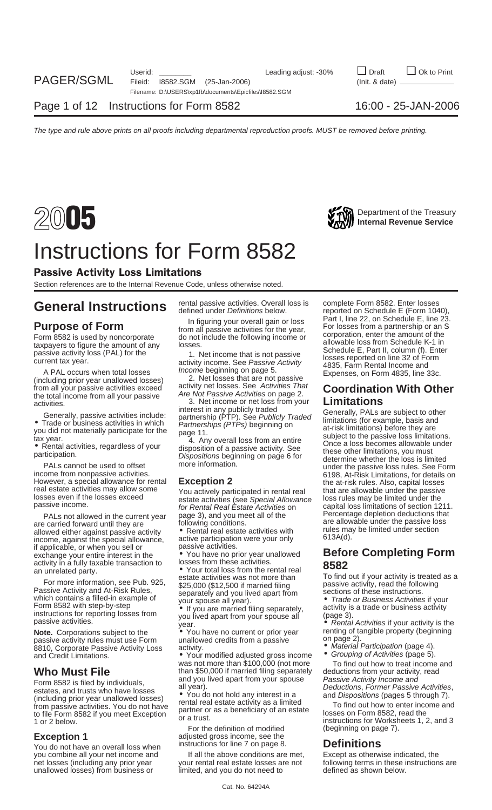

# Instructions for Form 8582

### Passive Activity Loss Limitations

Section references are to the Internal Revenue Code, unless otherwise noted.

A PAL occurs when total losses activity income. See Passive Activity and the metal lincome and<br>A PAL occurs when total losses income beginning on page 5.<br>(including prior year unallowed losses) 2. Net losses that are not p from all your passive activities exceed activity net losses. See Activities *I hat* **Coordination With Other**<br>the total income from all your passive *Are Not Passive Activities* on page 2.<br>3. Net income or net loss from yo

PALs not allowed in the current year page 3), and you meet all of the<br>are carried forward until they are following conditions.<br>allowed either against passive activity <br>income, against the special allowance,<br>if applicable, If applicable, or when you sell or **the summan passive activities.**<br>
exchange your entire interest in the vector of the vector of these activities.<br>
activity in a fully taxable transaction to losses from these activities. activity in a fully taxable transaction to losses from these activities.<br>an unrelated party.<br>**•** Your total loss from the rental real **8582**<br>To find out if your activity is treated as a<br>**•** To find out if your activity is

which contains a filled-in example of<br>
Form 8582 with step-by-step<br>
instructions for reporting losses from<br>
passive activities.<br>
passive activities.<br>
passive activities.<br>
year.<br>
year.<br>
year.<br>
year.<br>
year.<br>
year.<br>
year.<br>
ye

passive activity rules must use Form 8810, Corporate Passive Activity Loss activity.<br>
and Credit Limitations. • Material Participation (page 4).<br>
• Your modified adjusted gross income • Grouping of Activities (page 5).

Form 8582 is filed by individuals,<br>
estates, and trusts who have losses and you lived apart from your spouse<br>
(including prior year unallowed losses)<br>
to do not hold any interest in a<br>
to file Form 8582 if you meet Excepti

You do not have an overall loss when instructions for line 7 on page 8. **Definitions** you combine all your net income and If all the above conditions are met, Except as otherwise indicated, the unallowed losses) from business or limited, and you do not need to

3. Net income or net loss from your interest in any publicly traded

Example to the mission party.<br>
For more information, see Pub. 925,<br>
Passive Activity and At-Risk Rules,<br>
Passive Activity and the surface separately and you lived apart from sections of these instructions.

and Credit Limitations. • Your modified adjusted gross income • Grouping of Activities (page 5).<br>was not more than \$100,000 (not more • To find out how to treat income and was not more than \$100,000 (not more To find out how to treat income than \$50,000 if married filing separately deductions from your activity, read **Who Must File** than \$50,000 if married filing separately deductions from your activity<br>Form 8582 is filed by individuals and you lived apart from your spouse *Passive Activity Income and* 

For the definition of modified (beginning on page 7). **Exception 1** adjusted gross income, see the<br>You do not have an overall loss when instructions for line 7 on page 8.

**General Instructions** rental passive activities. Overall loss is complete Form 8582. Enter losses<br>
defined under *Definitions* below. reported on Schedule E (Form 1040),<br>
In figuring your overall gain or loss Part I, line **Purpose of Form**<br>
Form 8582 is used by noncorporate<br>
taxpayers to figure the amount of any<br>
passive activity loss (PAL) for the<br>
taxpayers to figure the amount of any<br>
passive activity losses.<br>
The domot include the follo

Generally, passive activities include:<br>
• Trade or business activities include:<br>
• Trade or business activities in which<br>
you did not materially participate for the<br>
• Rental activities, regardless of your<br>
participation.<br> PALs cannot be used to offset<br>
income from a more information.<br>
income from a more information.<br>
However, a special allowance for rental<br>
For exception 2<br>
However, a special allowance for rental<br>
For Rental Passive income<br>

Proport Corporations subject to the **the example of the vear.**<br> **Note.** Corporations subject to the **•** You have no current or prior year **•** renting of tangible property (beginning passive activity is the property (beginn

- 
- 

net losses (including any prior year your rental real estate losses are not following terms in these instructions are unallowed losses) from business or limited, and you do not need to defined as shown below.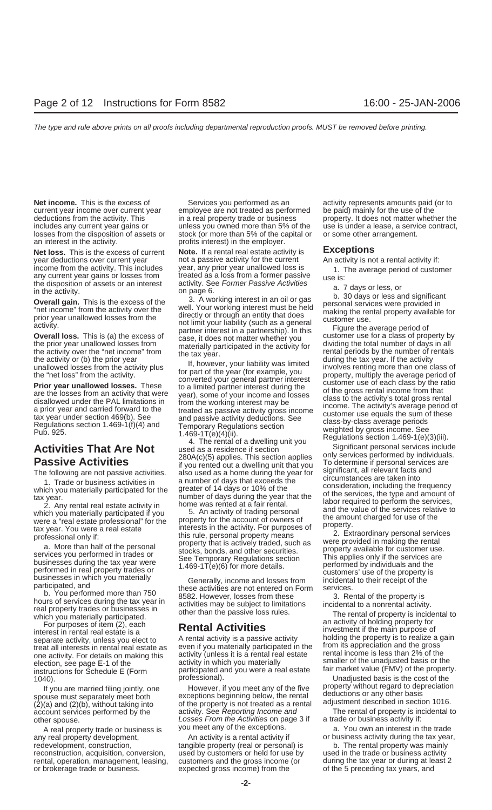an interest in the activity. profits interest) in the employer.

real property trades or businesses in the passive loss rules. The rental of property is incidental to which you materially participated.

separate activity, unless you elect to A rental activity is a passive activity to the property is to realize a y<br>treat all interests in rental real estate as even if you materially participated in the from its appreciation one activity. For details on making this activity (unless it is a rental real estate one activity. For details on making this activity in which you materially election, see page E-1 of the activity in which you materially instructions for Schedule E (Form participated and you were a real estate and rail market value (FMV) or the property<br>1040).<br>If you are married filing jointly one However, if you meet any of the five property without regar

any real property development,  $\blacksquare$  An activity is a rental activity if  $\blacksquare$  or business activity during the tax year, redevelopment, construction, the rental property (real or personal) is b. The rental property was mainly reconstruction, acquisition, conversion, used by customers or held for use by used in the trade or business activity rental, operation, management, leasing, customers and the gross income (or during the tax year or during rental, operation, management, leasing, customers and the gross income (or during the tax year or during at least 2 or brokerage trade or business. expected gross income) from the of the 5 preceding tax years, and

**Net income.** This is the excess of Services you performed as an activity represents amounts paid (or to and to to current year income over current year employee are not treated as performed be paid) mainly for the use of the deductions from the activity. This in a real property trade or business property. It does not matter whether the includes any current year gains or unless you owned more than 5% of the use is under a lease, a service contract, losses from the disposition of assets or stock (or more than 5% of the capital or or some other arrangement.

**Net loss.** This is the excess of current **Note.** If a rental real estate activity is **Exceptions** year deductions over current year hot a passive activity for the current An activity is not a rental activity if: income from the activity. This includes year, any prior year unallowed loss is  $\frac{1}{1}$ . The average period of customer any current year gains or losses from treated as a loss from a former passive use is:<br>the dispositio

the disposition of assets or an interest<br>in the activity.<br>In the activity.<br>
In the activity.<br> **Overall gain.** This is the excess of the<br>
"net income" from the activity over the<br>
"interest in an oil or gas<br>
"het income" fro

The following are not passive activities. also used as a home during the year for<br>
also used as a home during the year for<br>
which you materially participated for the greater of 44xy star exceeds the<br>
which you materially p

If you are married filing jointly, one<br>spouse must separately meet both exceptions beginning below, the rental deductions or any other basis<br>(2)(a) and (2)(b), without taking into of the property is not treated as a rental (2)(a) and (2)(b), without taking into of the property is not treated as a rental adjustment described in section 1016.<br>account services performed by the activity. See Reporting Income and The rental of property is inciden other spouse.<br>A real property trade or business is you meet any of the exceptions.<br>A real property trade or business is you meet any of the exceptions.

the activity over the "net income" from the tax year. The particle is the prior year of the the set of the particle of the text of the text of the text of the set of the set of the set of the set of the set of the set of t

For purposes of item (2), each **Rental Activities** an activity of holding property for<br>interest in rental real estate is a **Rental Activities** investment if the main purpose of<br>separate activity unless you elect to A renta

A real property trade or business is you meet any of the exceptions. A real own an interest in the trade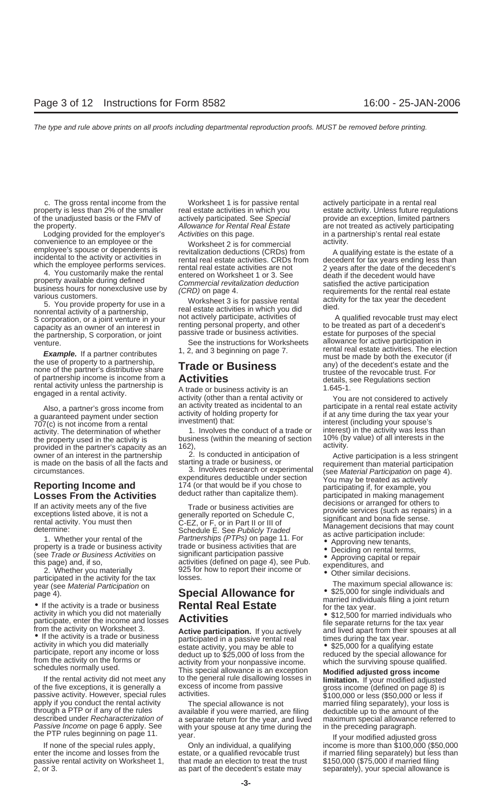c. The gross rental income from the Worksheet 1 is for passive rental actively participate in a rental real of the unadjusted basis or the FMV of actively participated. See Special provide an exception, limited partners<br>Allowance for Rental Real Estate are not treated as actively participating the property. The property are not treated as actively participating and the property.

Lodging provided for the employer's Activities on this page. The same in a partnership's rental real estate

nonrental activity of a partnership,<br>
S corporation, or a joint venture in your not actively participate, activities of A qualified revocable trust may elect<br>
capacity as an owner of an interest in renting personal propert capacity as an owner of an interest in<br>the partnership, S corporation, or joint passive trade or business activities.<br>Version satisfy the partnership, S corporation, or joint passive trade or business activities.<br>See the i

**Example.** If a partner contributes the use of property to a partnership,<br>
the use of property to a partnership,<br>
the use of property to a partnership,<br>
mone of the partner's distributive share<br>
of partnership income is in

a guaranteed payment under section activity of holding property for if at any time during the tax year your<br>707(c) is not income from a rental investment) that:<br>707(c) is not income from a rental 707(c) is not income from a rental investment) that:<br>activity The determination of whether and the conduct of a trade or interest) in the activity was less than provided in the partner's capacity as an  $162$ ),<br>owner of an interest in the partnership 2. Is conducted in anticipation of

participated in the activity for the tax losses.<br>
year (see *Material Participation* on<br> **Sherial Allowance for** • \$25,000 for single individuals and<br>
nage 4)

Function is a track of the internal activity is a track or business<br>
and the activity is a track or business<br>
participate, enter the income and losses<br> **Participates**<br> **Participates**<br> **Participates**<br> **Participates**<br> **Parti** 

passive rental activity on Worksheet 1, that made an election to treat the trust 2, or 3. as part of the decedent's estate may separately), your special allowance is

activity. The determination of whether 1. Involves the conduct of a trade or interest) in the activity was less than<br>the property used in the activity is business (within the meaning of section 10% (by value) of all intere the property used in the activity is business (within the meaning of section  $10\%$  (b) crovided in the partner's capacity as an  $162$ ).

If an activity meets any of the five<br>exceptions listed above, it is not a<br>exceptions listed above, it is not a<br>rental activity. You must then<br>determine:<br>1. Whether your rental of the<br>5. Schedule E. See Publicly Traded<br>1. W

property is less than 2% of the smaller real estate activities in which you estate activity. Unless future regulations<br>of the unadjusted basis or the FMV of actively participated. See Special provide an exception, limited

convenience to an employee or the method in the method of the extite of a employee's spouse or dependents is<br>
incidental to the activity or activities in ternal real estate activities in ternal real estate activities cRDs

venture.<br>See the instructions for Worksheets allowance for active participation in<br>Frample If a partner contributes 1, 2, and 3 beginning on page 7.

activity (other than a rental activity or an activity community of the real activity or an activity treated as incidental to an participate in a rental real estate activity and activity of holding property for if at any ti

owner of an interest in the partnership a trade on the basis of all the facts and starting a trade or business, or<br>
is made on the basis of all the facts and starting a trade or business, or<br>
circumstances.<br> **Reporting Inc Reporting Income and** 174 (or that would be if you chose to participating if, for example, you<br> **Losses From the Activities** deduct rather than capitalize them). participated in making management<br>
If an activity meets any

- 
- 
- 
- 
- 
- 

page 4). **Special Allowance for** • \$25,000 for single individuals and **Special Allowance for** • \$25,000 for single individuals and **natural structure** 

If none of the special rules apply, Only an individual, a qualifying income is more than \$100,000 (\$50,000 enter the income and losses from the estate, or a qualified revocable trust if married filing separately) but less than<br>passive rental activity on Worksheet 1, that made an election to treat the trust \$150,000 (\$75,000 if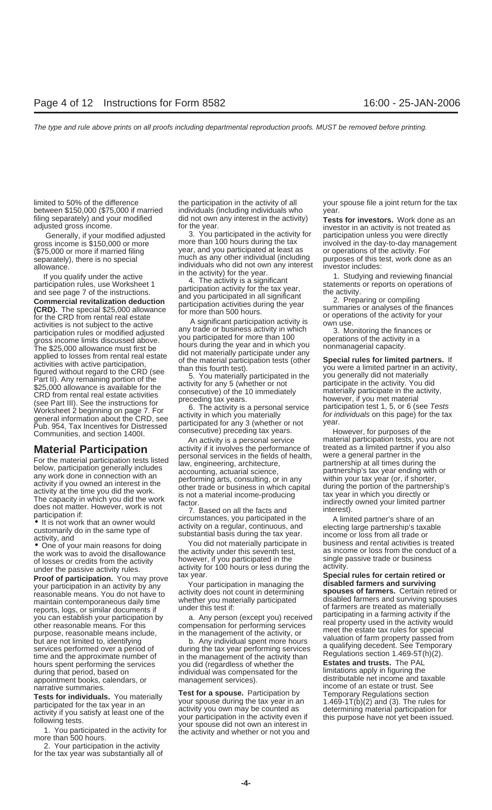If you qualify under the active<br>
If you qualify under the active<br>
participation rules, use Worksheet 1<br>
and see page 7 of the instructions.<br> **Commercial revitalization deduction**<br> **CRD).** The special \$25,000 allowance<br>
for For the CRD from rental real estate<br>
activities is not subject to the active active A significant participation activity is own use.<br>
participation rules or modified adjusted any trade or business activity in which 3. Moni participation rules or modified adjusted any trade or business activity in which 3. Monitoring the finances or<br>gross income limits discussed above you participated for more than 100 operations of the activity in a participation is discussed above.<br>gross income limits discussed above. you participated for more than 100 operations of the activity<br>The \$25,000 allowance must first be The \$25,000 allowance must first be<br>
applied to losses from rental real estate<br>
applied to losses from rental real estate<br>
applied to losses from rental real estate<br>
activities with active participation,<br>
figured without Pub. 954, Tax Incentives for Distressed paincipated for any 3 (wiletiler of flot year.<br>Communities, and section 1400I. consecutive) preceding tax years. However, for purposes of the<br>An activity is a personal service materi

of farmers are treated as materially<br>you can establish your participation by<br>other reasonable means. For this<br>purpose, reasonable means include, in the management of the activity, or<br>purpose, reasonable means include, in t purpose, reasonable means include,<br>but are not limited to, identifying<br>services performed over a period of<br>time and the approximate number of<br>time and the approximate number of<br>time and the approximate number of<br>time and t hours spent performing the services you did (regardless of whether the **Estates and trusts.** The PAL<br>during that period, based on **individual was compensated for the imitations apply in figuring the** during that period, based on individual was compensated for the appointment books, calendars, or management services). distributable net income and taxable

2. Your participation in the activity for the tax year was substantially all of

between \$150,000 (\$75,000 if married individuals (including individuals who year.<br>filing separately) and your modified did not own any interest in the activity) **Tests** filing separately) and your modified did not own any interest in the activity) **Tests for investors.** Work done as an adjusted gross income.<br>
adjusted gross income. **For the year** for the year. **Example 10** investor in an

Generally, if your modified adjusted 3. You participated in the activity for eparticipation unless you were directly<br>So income is \$150,000 or more nere than 100 hours during the tax involved in the day-to-day management gross income is \$150,000 or more more than 100 hours during the tax involved in the day-to-day mana<br>(\$75,000 or more if married filing year, and you participated at least as cor operations of the activity. For year, and you participated at least as<br>much as any other individual (including separately), there is no special much as any other individual (including purposes of this test, work done as an<br>allowance. individuals who did not own any interest investor includes:<br>in the activity) for the year.

**Material Participation** activity if it involves the performance of treated as a limited partner if  $\frac{1}{2}$  personal services in the fields of health, were a general partner in the

Test for individuals. You materially<br>
Test for a spouse. Participation by<br>
participated for the tax year in an<br>
activity you own may be counted as<br>
activity if you satisfy at least one of the<br>
following tests.<br>
The rules f

limited to 50% of the difference the participation in the activity of all your spouse file a joint return for the tax

investor in an activity is not treated as<br>3. You participated in the activity for barticipation unless you were directly

material participation tests, you are not<br>treated as a limited partner if you also For the material participation tests listed<br>
For the material participation tests listed<br>
any equivales in accounting, activities in the fields of health, were a general partnership is<br>
any work done in connection with an<br>

reasonable means. You do not have to activity does not count in determining **spouses or rarmers.** Certain retired or<br>maintain contemporaneous daily time whether you materially participated disabled farmers and surviving sp

narrative summaries.<br>
Test for a spouse. Participation by Temporary Regulations section<br>
Texts for individuals You materially Test for a spouse. Participation by Temporary Regulations section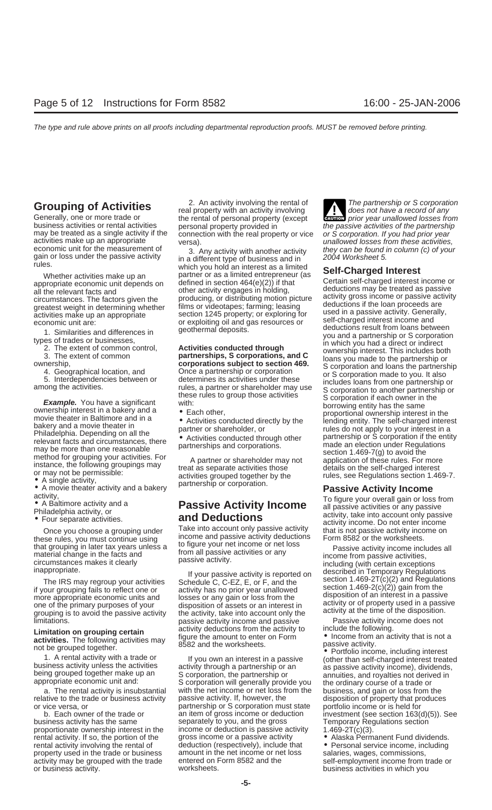these rules, you must continue using income and passive activity deductions<br>that grouping in later tax years unless a to figure your net income or net loss

more appropriate economic units and<br>one of the primary purposes of your<br>grouping is to avoid the passive activity the activity, take into account only the activity at the time of the disposition.

relative to the trade or business activity cassive activity. If, however, the disposition of property that produces

property used in the trade or business amount in the net income or net activity may be grouped with the trade entered on Form 8582 and the

**Grouping of Activities**<br>
Generally, one or more trade or the rental of personal property with an activity involving<br>
Later and the partnership or S corporation<br>
business activities or rental activities<br>
the passive activi business activities or rental activities personal property provided in the passive activities of the partnership<br>may be treated as a single activity if the connection with the real property or vice or S corporation. If you

economic unit for the measurement of a. Any activity with another activity they can be found in column (c) of your gain or loss under the passive activity in a different type of business and in which you hold an interest a Whether activities make up an partner or as a limited entrepreneur (as appropriate economic unit depends on defined in section  $464(e)(2)$ ) if that Certain self-charged interest income or all the relevant facts and other ac

grouping is to avoid the passive activity the activity, take into account only the different activity at the unle of the disposition<br>limitations.<br>I imitation on grouping ortain activity deductions from the activity to incl

propriate economic unit and:<br>
a. The rental activity is insubstantial business are business, and gain or loss from the<br>
ative to the trade or business activity passive activity. If, however, the disposition of property tha or vice versa, or partnership or S corporation must state portfolio income or is held for partnership or S corporation must state portfolio income or is held for b. Each owner of the trade or an item of gross income or ded business activity has the same separately to you, and the gross Temporary Regulations section proportionate ownership interest in the income or deduction is passive activity 1.469-2T(c)(3). income or deduction is passive activity. rental activity. If so, the portion of the gross income or a passive activity • Alaska Permanent Fund dividends. rental activity involving the rental of deduction (respectively), include that • Personal service income, including property used in the trade or business amount in the net income or net loss salaries, wages, commissions, activity may be grouped with the trade entered on Form 8582 and the self-employment income from trade or<br>or business activity our entered on Form 8582 and the self-employment income from trade or or business activity. business activities in which you worksheets.

**ENTION** prior year unallowed losses from

circumstances. The factors given the production<br>consisting model in the production of predictions of the same of productions of the bean proceeds are<br>greatest weight in determining whether illims or videotapes; farming: l

Once you choose a grouping under<br>Once you choose a grouping under<br>See rules, you must continue using income and passive activity deductions Form 8582 or the worksheets.

that grouping in later tax years unless a<br>material change in the facts and<br>circumstances makes it clearly<br>inappropriate. If your passive activity is reported on<br>the IRS may regroup your activities<br>if your grouping fails to

**Limitation on grouping certain**<br> **activities.** The following activities may<br>
not be grouped together.<br>
1. A rental activity with a trade or<br>
business activity unless the activities<br>
business activity unless the activities an item of gross income or deduction investment (see section  $163(d)(5)$ ). See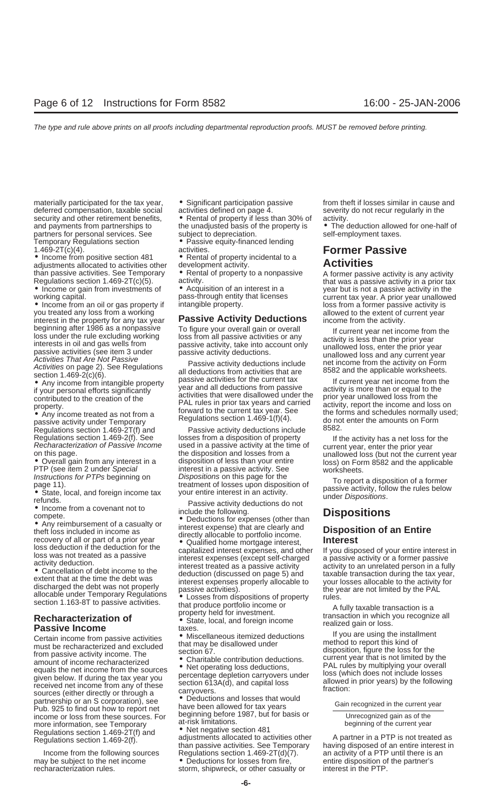deferred compensation, taxable social activities defined on page 4. Severity do not recur regularly in the security and other retirement benefits, <br>and payments from partnerships to the unadjusted basis of the property is • The c partners for personal services. See Temporary Regulations section • Passive equity-financed lending<br>1.469-2T(c)(4).

adjustments allocated to activities other development activity.<br>
than passive activities. See Temporary **•** Rental of property to a nonpassive

you treated any loss from a working allowed to the extent of current year interest in the property for any tax year **Passive Activity Deductions** income from the activity. beginning after 1986 as a nonpassive To figure your overall gain or overall<br>
loss under the rule excluding working<br>
interests in oil and gas wells from the passive activity, take into account only<br>
passive activities are t

passive activity under Temporary Regulations section 1.469-1(f)(4). do not enter the amount of amounts on the a<br>Requisitions section 1.469-2T(f) and Research Passive activity deductions include 8582. Regulations section  $1.469-2T(f)$  and Passive activity deductions include

• Income from a covenant not to<br>
• Any reimbursement of a casualty or<br>
the bosis included in income as<br>
the diversity allocable to portfolio income.<br>
The covery of all or part of a prior year<br> **Calified home mortgage inter** 

From passive activity income. The<br>
equals the net income recharacterized<br>
equals the net income from the sources<br>
and the come from the sources<br>
equals the net income from the sources<br>
equals the net income from the source Pub. 925 to find out how to report net<br>income or loss from these sources. For beginning before 1987, but for basis or Unrecognized gain as of the<br>more information see Temporary at-risk limitations. more information, see Temporary at-risk limitations.<br>Requisitions section 1 469-2T(f) and <br>**e** Net negative section 481 Regulations section  $1.469-2T(f)$  and

may be subject to the net income • Deductions for losses from fire, entire disposition of the partner's recharacterization rules.<br>
recharacterization rules. Storm, shipwreck, or other casualty or interest in the PTP.

- 
- 

the unad justed basis of the property is • The deduction allowed for one-half of subject to depreciation.

section 1.469-2(c)(6).<br>
• Any income from intangible property passive activities for the current tax If current year net income from the<br>
Form income from intangible property passive activities for the current tax<br>
If cur if your personal efforts significantly year and all deductions from passive activity is more than or equal to the<br>contributed to the creation of the activities that were disallowed under the prior year unallowed loss from contributed to the creation of the activities that were disallowed under the prior year unallowed loss from the<br>contributed to the creation of the PAL rules in prior tax years and carried activity, report the income and lo property. PAL rules in prior tax years and carried<br>property. The income activity of the income and loss on the income and loss on the income and loss on the income and loss on the income and loss on the income and loss on

Regulations section 1.469-2(f). See losses from a disposition of property and the activity has a net loss for the Recharacterization of Passive Income used in a passive activity at the time of current year, enter the prio

Regulations section 1.469-2(f). and adjustments allocated to activities other A partner in a PTP is not treated as<br>Regulations section 1.469-2(f). Than passive activities. See Temporary having disposed of an entire interes than passive activities. See Temporary Income from the following sources Regulations section 1.469-2T(d)(7). an activity of a PTP until there is an

storm, shipwreck, or other casualty or

materially participated for the tax year,  $\bullet$  Significant participation passive from theft if losses similar in cause and

# 1.469-2T(c)(4). **Former Passive**<br>● Income from positive section 481 ● Rental of property incidental to a **Former Passive**<br>adjustments allocated to activities other development activity. **Activities**

than passive activities. See Temporary <br>
Regulations section 1.469-2T(c)(5). activity. activity activity activity activity activity activity activity<br>
• Income or gain from investments of • Acquisition of an interest in a ■ Income or gain from investments of ■ Acquisition of an interest in a working capital.<br>working capital. pass-through entity that licenses current tax year. A prior year unallowed<br>■ Income from an oil or gas property if i

• Any income treated as not from a forward to the current tax year. See the forms and schedules normally used;<br>passive activity under Temporary Regulations section 1.469-1(f)(4). The donot enter the amounts on Form

Instructions for PTPs beginning on *Dispositions* on this page for the To report a disposition of a former<br>
page 11). treatment of losses upon disposition of To report a disposition of a former<br>
• State, local, and foreig

loss deduction if the deduction for the<br>
loss deduction for the capitalized interest expenses, and other If you disposed of your entire interest in<br>
activity of a former passive<br>
activity deduction at the term of debt inco

**Passive Income**<br>
Certain income from passive activities **If** you are using the installment<br>
that may be disallowed under the method to report this kind of<br>
the recharacterized and excluded that may be disallowed under<br>
th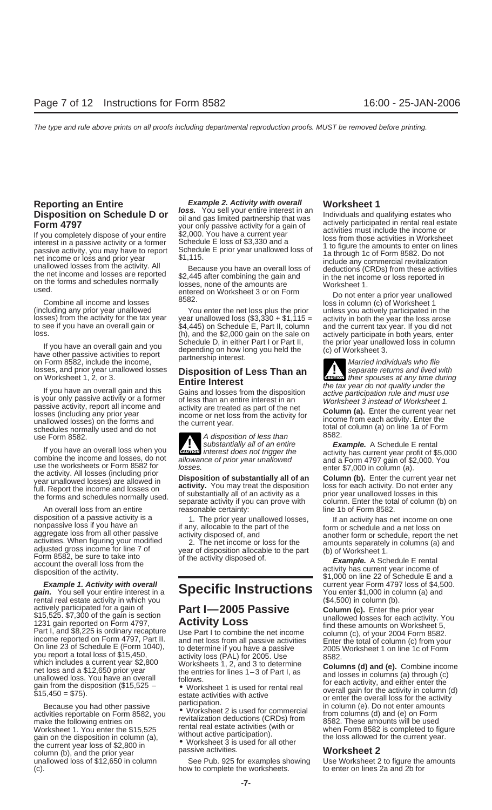# **Reporting an Entire** Example 2. Activity with overall Worksheet 1<br>**Disposition on Schodule D.or** loss. You sell your entire interest in an undividual and a

losses, and prior year unallowed losses **Disposition of Less Than an** separate returns and lived with on Worksheet 1, 2, or 3. on Yom Book, molded the moone,<br>losses, and prior year unallowed losses **Disposition of Less Than an** *Separate returns and lived with*<br>on Worksheet 1, 2, or 3.

If you have an overall gain and this<br>
is your only passive activity or a former<br>
is your only passive activity or a former<br>
is your only passive activity or a former<br>
passive activity, report all income and<br>
is your only p schedules normally used and do not<br>use Form 8582. <br>aubstantially all of an entire **Example.** A Schedule E rental

If you have an overall loss when you<br>
combine the income and losses, do not allowance of prior year unallowed and a Form 4797 gain of \$2,000. You combine the income and losses, do not<br>use the worksheets or Form 8582 for<br>the activity. All losses (including prior<br>year unallowed losses) are allowed in<br>full. Report the income and losses on<br>the forms and schedules normal

An overall loss from an entire reasonable certainty: line 1b of Form 8582.<br>disposition of a passive activity is a reasonable certainty: line the server of an activity has ne disposition of a passive activity is a<br>
nonpassive loss if you have an<br>
aggregate loss from all other passive<br>
activities. When figuring your modified<br>
activities. When figuring your modified<br>
activity disposed of, and<br>
ac

**gain.** You sell your entire interest in a **Specific Instructions** rental real estate activity in which you<br>actively participated for a gain of **Part I-2005 Passive Column (c).** Enter the actively participated for a gain of<br>
1231 gain reported on Form 4797,<br>
1231 gain reported on Form 4797,<br>
1231 gain reported on Form 4797, **Activity Loss**<br>
1231 gain reported on Form 4797, Part I to combine the net income<br>

make the following entries on<br>
Worksheet 1. You enter the \$15,525<br>
make the following entries on<br>
Worksheet 1. You enter the \$15,525<br>
make the following entries on<br>
without active participation).<br>
without active participat gain of the disposition in column (d),<br>the current year loss of \$2,800 in<br>column (b), and the prior year passive activities.<br>unallowed loss of \$12,650 in column See Pub. 925 for examples showing Use Worksheet 2 to figure t unallowed loss of \$12,650 in column

If you have an overall gain and you<br>have other passive activities to report depending on how long you held the (c) of Worksheet 3.<br>on Form 8582, include the income, partnership interest.

**ENTION** interest does not trigger the

(c). how to complete the worksheets. to enter on lines 2a and 2b for

**Disposition on Schedule D or**<br> **Disposition on Schedule D or**<br> **Form 4797**<br>
If you completely dispose of your entire<br>
form ansistive activity for a gain of actively participated in rental real estate<br>
If you completely di

**Example 1. Activity with overall Specific Instructions** Current year Form 4797 loss of \$4,500.<br>in. You sell your entire interest in a **Specific Instructions** You enter \$1,000 in column (a) and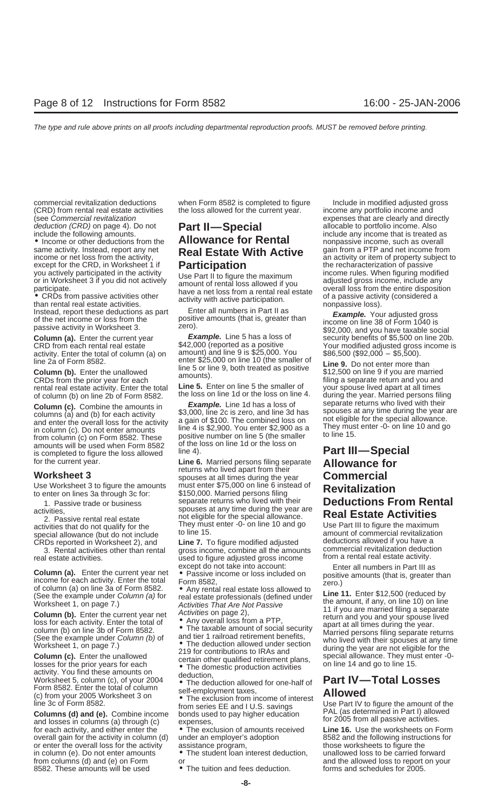(see Commercial revitalization expenses that are clearly and directly<br>
deduction (CRD) on page 4). Do not **Part II—Special** expenses that are clearly and directly deduction (CRD) on page 4). Do not **Part II—Special** allocable to portfolio income. Also include the following amounts.

Instead, report these deductions as part<br>
of the net income or loss from the positive amounts (that is, greater than<br>
passive activity in Worksheet 3. zero).<br>  $\frac{2000}{3}$  and you have taxable social<br>
passive activity in W

rental real estate activity. Enter the total **Line 5.** Enter on line 5 the smaller of your spouse lived apart at all times

from column (c) on Form 8582. These positive number on line 5 (the small amounts will be used when Form 8582 of the loss on line 1d or the loss on is completed to figure the loss allowed  $\frac{line 4}{2}$ . difficulties will be used when I off loss completed to figure the loss allowed line 4). **Part III—Special** 

Use Worksheet 3 to figure the amounts must enter \$75,000 on line 6 inst<br>to enter on lines 3a through 3c for: \$150,000. Married persons filing

special allowance (but do not include to line 15.<br>CRDs reported in Worksheet 2), and **Line 7.** To figure modified adjusted deductions allowed if you have a

Form 8582. Enter the total of column<br>(c) from your 2005 Worksheet 3 on Form 6362. Enter the total of column self-employment taxes,<br>
(c) from your 2005 Worksheet 3 on **•** The exclusion from income of interest **Allowed**<br>
line 3c of Form 8582. **In the from series EE and I U.S. savings** Use Part

For 2005 from all passive activities.<br>and losses in columns (a) through (c) expenses,<br>for each activity, and either enter the • The exclusion of amounts received **Line 16.** Use the worksheets on Form for each activity, and either enter the **•** The exclusion of amounts received **Line 16.** Use the worksheets on Form overall gain for the activity in column (d) under an employer's adoption 8582 and the following instructio overall gain for the activity in column (d) or enter the overall loss for the activity assistance program, those worksheets to figure the in column (e). Do not enter amounts  $\bullet$  The student loan interest deduction, unallowed loss to be carried forward from columns (d) and (e) on Form or 8582. These amounts will be used • The tuition and fees deduction. forms and schedules for 2005.

commercial revitalization deductions when Form 8582 is completed to figure Include in modified adjusted gross (CRD) from rental real estate activities the loss allowed for the current year. income any portfolio income and

CRD from each rental real estate  $$42,000$  (reported as a positive Your modified adjusted gross income is activity. Enter the total of column (a) on amount) and line 9 is \$25,000. You \$86,500 (\$92,000 - \$5,500). activity. Enter the total of column (a) on amount) and line 9 is \$25,000. You \$86,500 (\$92,000 - \$5,500).<br>
line 2a of Form 8582.<br> **Column (b).** Enter the unallowed line 5 or line 9, both treated as positive  $\begin{array}{l} \text{Line 9.$ 

**Column (c).** Combine the amounts in<br>
columns (a) and (b) for each activity<br>
and enter the overall loss for the activity<br>
in column (c). Do not enter amounts<br>  $\frac{1}{2}$  and  $\frac{1}{2}$  and  $\frac{1}{2}$  and  $\frac{1}{2}$  and  $\frac{1}{$ 

for the current year.<br> **Line 6.** Married persons filing separate **Allowance for**<br> **Worksheet 3** to figure the amounts must enter \$75,000 on line 6 instead of **Devitalization**<br>
Devitalization Use Worksheet 3 to figure the amounts must enter \$75,000 on line 6 instead of **Revitalization**<br>to enter on lines 3a through 3c for: \$150,000. Married persons filing<br>**1** Passive trade or business separate returns who lived 1. Passive trade or business separate returns who lived with their **Deductions From Rental** spouses at any time during the year are<br>
activities, activities, activities and the special allowance.<br>
They must enter -0- on line 10 and go Use Part III to figure the maximum<br>
They must enter -0- on line 10 and go Use Pa exert that do not qualify for the They must enter -0- on line 10 and go Use Part III to figure the maximum<br>special allowance (but do not include to line 15.

CRDs reported in Worksheet 2), and **Line 7.** To figure modified adjusted deductions allowed if you have a 3. Rental activities other than rental gross income, combine all the amounts commercial revitalization deduct<br>vised to figure adjusted gross income from a rental real estate activity. used to figure adjusted gross income<br>except do not take into account:

- 
- 
- 
- 
- 

**Columns (d) and (e).** Combine income bonds used to pay higher education PAL (as determined in Part I) allowed

• Income or other deductions from the **Allowance for Rental nonpassive income, such as overall**<br>same activity. Instead, report any net **Doal Estate With Active** gain from a PTP and net income from same activity. Instead, report any net **Real Estate With Active** gain from a PTP and net income from income from **Real Estate With Active** an activity or item of property subject to except for the CRD, in Worksheet 1 if **P** Except for the CRD, in Worksheet 1 if<br>
you actively participated in the activity<br>
or in Worksheet 3 if you did not actively<br>
participate.<br>
• CRDs from passive activities other<br>
than rental real estate activities.<br>
<br>
the r

**Column (a).** Enter the current year **Example.** Line 5 has a loss of security benefits of \$5,500 on line 20b.<br>CRD from each rental real estate \$42,000 (reported as a positive Your modified adjusted gross income is

of column (b) on line 2b of Form 8582. the loss on line 1d or the loss on line 4. during the year. Married persons filing  $\epsilon$  column (c). Combine the amounts in **Example**. Line 1d has a loss of separate returns who lived

**Column (a).** Enter the current year net  $\bullet$  Passive income for each activity. Enter the total Form 8582,<br>
(See the example under Column (a) for each state professionals (defined under  $\bullet$  The Basive income of column (a

from columns (d) and the allowed loss to report on your and the allowed loss to report on your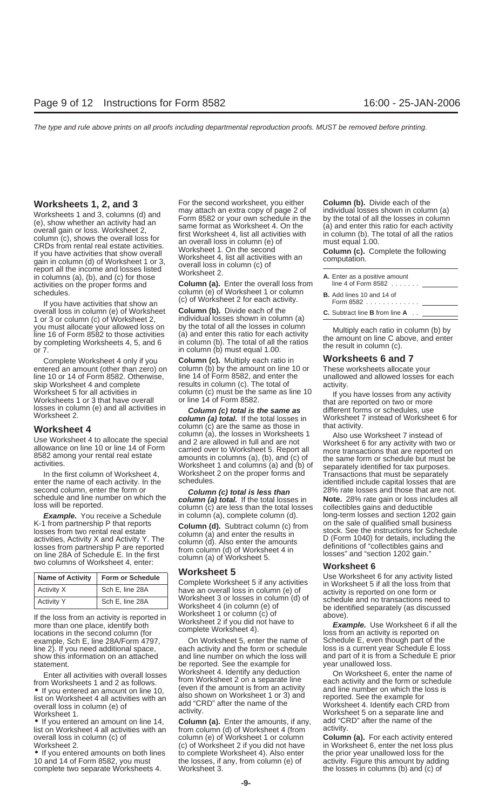overall loss in column (e) of Worksheet **Column (b).** Divide each of the **C.** Subtract line **B** from line **A** . . you must allocate your allowed loss on by the total of all the losses in column Multiply each ratio in column (b) by line 16 of Form 8582 to those activities (a) and enter this ratio for each activity the amount on line C

line 10 or 14 of Form 8582. Otherwise, skip Worksheet 4 and complete results in column (c). The total of activity.<br>Worksheet 5 for all activities in a column (c) must be the same as line 10

Vorksheet 5<br>
Manne of Activity Column Column (a) and enter the results in<br>
Manne of Activity Form or Schedule<br>
Manne of Activity Form of Schedule<br>
Manne of Activity Form of Schedule<br>
Column (d). Subtract column (c) from th

| <b>Name of Activity</b> | <b>Form or Schedule</b> |
|-------------------------|-------------------------|
| Activity X              | Sch E, line 28A         |
| <b>Activity Y</b>       | Sch E, line 28A         |

locations in the second column (for<br>example, Sch E, line 28A/Form 4797, On Worksheet 5, enter the name of Schedule E, even though part of the<br>line 2). If you need additional space. each activity and the form or schedule lo line 2). If you need additional space, each activity and the form or schedule

• If you entered an amount on line 10, (even if the amount is from an activity and line number on which the loss is  $\frac{1}{10}$  is the which the loss is list on Worksheet 4 all activities with an also shown on Worksheet 1 list on Worksheet 4 all activities with and report on Worksheet 4 or 3) and reported. See the example for the overall loss in column (e) of add "CRD" after the name of the Worksheet 4. Identify each CRD from<br>Worksheet 5.00.3 separate line and

• If you entered an amount on line 14, **Column (a).** Enter the amounts, if any, add "CI<br>list on Worksheet 4 all activities with an from column (d) of Worksheet 4 (from activity. list on Worksheet 4 all activities with an overall loss in column (c) of column (e) of Worksheet 1 or column **Column (a).** For each activity entered

• If you entered amounts on both lines to complete Worksheet 4). Also enter 10 and 14 of Form 8582, you must the losses, if any, from column (e) of complete two separate Worksheets 4. Worksheet 3. the losses in columns (b) and (c) of

**Worksheets 1, 2, and 3** For the second worksheet, you either **Column (b).** Divide each of the may attach an extra copy of page 2 of individual losses shown in column (a) Worksheets 1 and 3, columns (d) and<br>
(e), show whether an activity had an<br>
(e), show whether an activity had an<br>
overall gain or loss. Worksheet 2,<br>
column (c), shows the overall loss for<br>
cRDs from rental real estate acti

activities on the proper forms and **Column (a).** Enter the overall loss from schedules. column (e) of Worksheet 1 or column **B.** Add lines that show an **B.** Add lines in column **B.** Add lines in column **B.** Column **(b)**. Divide each of the

individual losses shown in column (a)<br>by the total of all the losses in column

Complete Worksheet 4 only if you **Column (c).** Multiply each ratio in **Worksheets 6 and 7** column (b) by the amount on line 10 or These worksheets allocate your<br>line 14 of Form 8582, and enter the unallowed and allowed losses for each

**Worksheet 4**<br>
Use Worksheet 4 to allocate the special<br>
Use Worksheet 4 to allocate the special<br>
Use Worksheet 4 to allocate the special<br>
and 2 are allowed in full and are not<br>
S582 among your rental real estate<br>
activitie INDUSTREET 1 and columns (a) and (b) of separately identified for tax purposes.<br>In the first column of Worksheet 4, Worksheet 2 on the proper forms and Transactions that must be separately<br>identified include capital losses

Complete Worksheet 5 if any activities in Worksheet 5 if all the loss from that have an overall loss in column (e) of activity is reported on one form or Worksheet 3 or losses in column (d) of schedule and no transactions need to<br>Worksheet 4 (in column (e) of be identified separately (as discussed Fractivity is the loss from an activity is reported in<br>If the loss from an activity is reported in<br>If the loss from an activity is reported in<br>If the loss from an activity is reported in<br>In the second column (for<br>In the se

statement.<br> **Enter all ortivities with overall losses.** Worksheet 4. Identify any deduction from Worksheet 2 on a separate line each activity and the form or schedule<br>(even if the amount is from an activity and line number on which the loss is

Worksheet 2. (c) of Worksheet 2 if you did not have in Worksheet 6, enter the net loss plus<br>● If you entered amounts on both lines to complete Worksheet 4). Also enter the prior year unallowed loss for the

| A. Enter as a positive amount<br>line 4 of Form $8582$ |  |
|--------------------------------------------------------|--|
| <b>B.</b> Add lines 10 and 14 of                       |  |

Worksheet 5 for all activities in column (c) must be the same as line 10 If you have losses from any activity<br>Worksheets 1 or 3 that have overall or line 14 of Form 8582.<br>Iosses in column (e) and all activities in **Column** 

enter the name of each activity. In the schedules.<br>Second column, enter the form or **column (c) total is less than** 28% rate losses and those that are not. second column, enter the form or **Column (c) total is less than** 28% rate losses and those that are not.<br>schedule and line number on which the column (a) total. If the total losses in **Note.** 28% rate gain or loss includes schedule and line number on which the column (a) total. If the total losses in Note. 28% rate gain or loss includes all column (c) are less than the total losses collectibles gains and deductible<br>Example. You receive a Sc **Example.** You receive a Schedule in column (a), complete column (d). long-term losses and section 1202 gain K-1 from partnership P that reports column (d). Subtract column (c) from on the sale of qualified small business

show this information on an attached and line number on which the loss will and part of it is from a Schedule E prior<br>statement. be reported. See the example for year unallowed loss.

Enter all activities with overall losses Worksheet 4. Identify any deduction On Worksheet 6, enter the name of from Worksheet 2 on a separate line each activity and the form or schedule Worksheet 1. activity.<br>
• If you entered an amount on line 14 Column (a). Foter the amounts if any add "CRD" after the name of the

activity. Figure this amount by adding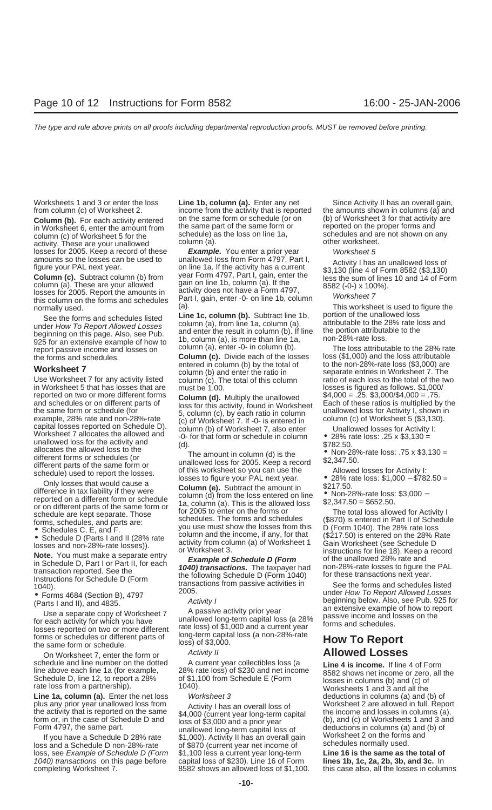in Worksheet 6, enter the amount from the same part of the same form or reported on the part of the proper column (c) of Worksheet 5 for the proper schedule) as the loss on line 1a, column (c) of Worksheet 5 for the schedule) as the loss on line 1a, schedules and are not shown on any column (a).<br>activity These are your unallowed column (a). activity. These are your unallowed column (a).<br>losses for 2005. Keep a record of these **Example.** You enter a prior year

this column on the forms and schedules Part I, gain, enter -0- on line 1b, column *WOINSHEELY*<br>normally used. (a).<br>See the forms and schedules listed **Line 1c, column (b).** Subtract line 1b, portion of the unallowed loss

925 for an extensive example of how to the column (a), is more than line 1a, then 20% rate isss.<br>report passive income and losses on column (a), enter -0- in column (b). The loss attributable to the 28% rate<br>the forms and

in Worksheet 5 that has losses that are must be  $1.00<sub>l</sub>$ . and schedules or o different parts of<br>
the same form or schedule for<br>
the same form or schedule for<br>
the same form or schedule for<br>
example, 28% rate and non-28%-rate<br>
(c) of Worksheet 7. If -o- is entered in column (c) o

schedule and line number on the dotted<br>
line above each line 1a (for example, 28% rate loss) of \$230 and net income<br>
Schedule D, line 12, to report a 28% of \$1,100 from Schedule E (Form a posses in columns (b) and (c) of<br>

**Line 1a, column (a).** Enter the net loss Worksheet 3 deductions in columns (a) and (b) of plus any prior year unallowed loss from Activity I has an overall loss of Worksheet 2 are allowed in full. Report the activity that is reported on the same \$4,000 (current vear long-term capital) the income and losses in c

loss, see Example of Schedule D (Form \$1,100 less a current year long-term **Line 16 is the same as the total of** 1040) transactions on this page before completing Worksheet 7. 8582 shows an allowed loss of \$1,100. this case also, all the losses in columns

Worksheets 1 and 3 or enter the loss **Line 1b, column (a).** Enter any net Since Activity II has an overall gain, from column (c) of Worksheet 2. income from the activity that is reported the amounts shown in columns (a) and **Column (b).** For each activity entered on the same form or schedule (or on (b) of Worksheet 3 for that activity are in Worksheet 6 enter the amount from the same part of the same form or

losses for 2005. Keep a record of these **Example.** You enter a prior year Worksheet 5 amounts so the losses can be used to unallowed loss from Form 4797, Part I,<br>
figure your PAL next year. on line 1a. If the activity has a current<br> **Column (c).** Subtract column (b) from year Form 4797, Part I, gain, enter

See the forms and schedules listed<br>
under How To Report Allowed Losses<br>
beginning on this page. Also, see Pub.<br>
26. for an extensive example of how to<br>
26. for an extensive example of how to<br>
26. for an extensive example o

column  $(c)$ . The total of this column ratio of each loss to the total of the total of the total of the total of the total of the total of the total of the total of this column ratio of each loss is figured as follows. \$1,

Instructions for Schedule D (Form the following Schedule D (Form 1040)<br>1040).<br>• Forms 4684 (Section B) 4797 2005.<br>• Forms 4684 (Section B) 4797 2005.

the activity that is reported on the same  $$4,000$  (current year long-term capital form or, in the case of Schedule D and loss of \$3,000 and a prior year (b), and (c) of Worksheets 1 and 3 and unallowed long-term capital (

**Column (c).** Divide each of the losses loss (\$1,000) and the loss attributable entered in column (b) by the total of to the non-28%-rate loss (\$3,000) are **Extra different in column (b) by the ratio in**<br>Use Worksheet 7 for any activity listed<br>Use Worksheet 7 for any activity listed<br>Column (c). The total of this column<br>Column (c) and enter the ratio in separate entries in Wor reported on two or more different forms **Column (d).** Multiply the unallowed  $$4,000 = .25. $3,000/$4,000 = .75.$  and schedules or on different parts of loss for this activity found in Worksheet Each of these ratios is multipli

- 
- 
- 
- 
- 

Fraction B (Fatts Fatter Instanting Comparison activity from column (a) of Worksheet 1<br>
Iosses and non-28%-rate losses).<br> **Note.** You must make a separate entry<br>
in Schedule D, Part I or Part II, for each<br>
transaction rep

• Forms 4684 (Section B), 4797<br>
• Forms 4684 (Section B), 4797<br>
(Parts I and II), and 4835.<br>
Use a separate copy of Worksheet 7<br>
Use a separate copy of Worksheet 7<br>
Let a separate copy of Worksheet 7<br>
Let a separate copy

# the same form or schedule.<br>
On Worksheet 7, enter the form or *Activity II* **Allowed Losses**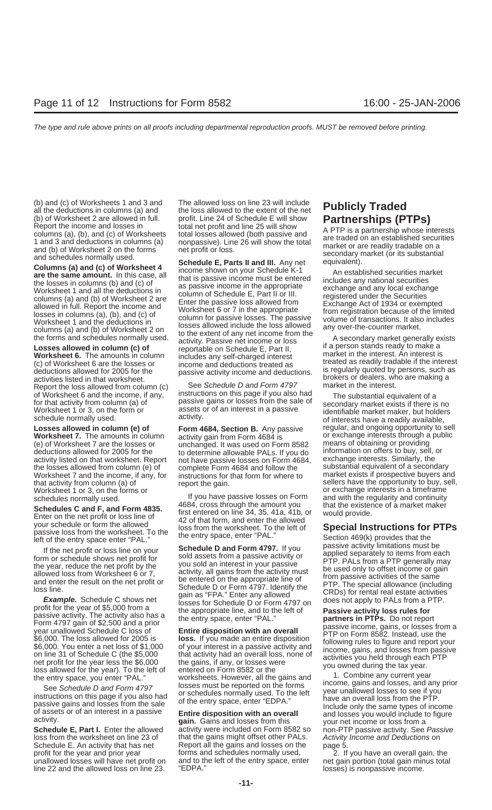(b) and (c) of Worksheets 1 and 3 and The allowed loss on line 23 will include (b) and (c) or worksheets 1 and 3 and<br>all the deductions in columns (a) and the loss allowed to the extent of the net<br>(b) of Worksheet 2 are allowed in full. profit. Line 24 of Schedule E will show **Partnershins (P**) (b) of Worksheet 2 are allowed in full. <br>
Report the income and losses in<br>
a columns (a), (b), and (c) of Worksheets<br>
a partnership whose interests<br>
a partnership whose interests<br>
a partnership whose interests<br>
and 3 and

(c) of Worksheet 6 are the losses or income and deductions treated as the interest deductions allowed for 2005 for the income and deductions income and deductions. The interest is regularly quoted by persons, such as acti Report the loss allowed from column (c) See Schedule D and Form 4797<br>of Worksheet 6 and the income, if any, instructions on this page if you also had of Worksheet 6 and the income, if any, instructions on this page if you also had<br>for that activity from column (a) of passive gains or losses from the sale of secondary market exists if there is no<br>worksheet 1 or 3, on the

**Worksheet 7.** The amounts in column activity gain from Form 4684 is or exchange interests through a public (e) of Worksheet 7 are the losses or a public unchanged, It was used on Form 8582 means of obtaining or providing (e) of Worksheet 7 are the losses or exampled. It was used on Form 8582 means of obtaining or providing<br>deductions allowed for 2005 for the example of determine allowable PALs. If you do information on offers to buy, sell, deductions allowed for 2005 for the to determine allowable PALs. If you do information on offers to buy, sell,<br>activity listed on that worksheet. Report not have passive losses on Form 4684, exchange interests. Similarly, the losses allowed from column (e) of complete Form 4684 and follow the substantial equivalent of a secondary<br>Worksheet 7 and the income, if any, for instructions for that form for where to market exists if prospective buy Worksheet 7 and the income, if any, for instructions for that form for where to market exists if prospective buyers and that activity from column (a) of report the gain.

schedules normally used.<br>
Schedules normally used.<br>
Schedules Cand F, and Torm 4835. 4684, cross through the amount you<br>
That the restance of a market maker<br>
Enter on the enter profit or loss line of<br>
Schedule of form the

**Schedule E, Part I.** Enter the allowed activity were included on Form 8582 so non-PTP passive activity. See Passive loss from the worksheet on line 23 of that the gains might offset other PALs. Activity Income and Deductions on Schedule E. An activity that has net Report all the gains and losses on the page 5.<br>
profit for the vear and prior vear forms and schedules normally used, 2. If profit for the year and prior year forms and schedules normally used, and the left of the entry space, enter and gain portion (total gain minus total punallowed losses will have net profit on and to the left of the entry s unallowed losses will have net profit on and to the line 22 and the allowed loss on line  $23.$  "EDPA." line 22 and the allowed loss on line 23. "EDPA." Show the same compassive income.

The losses in columns (b) and (c) of as passive income in the appropriate<br>
columns (a) and (b) of Worksheet 2 are<br>
allowed in full. Report the income and Worksheet 6 or 7 in the appropriate<br>
losses in columns (a), (b), and disses in columns (a), (b), and (c) of vorksheet 6 or / in the appropriate from registration because of the limited<br>Worksheet 1 and the deductions in column for passive losses. The passive volume of transactions. It also i Fraction of Morksheet Tand the deductions in<br>
the forms and schedules normally used.<br> **Losses allowed in column (c) of**<br> **Losses allowed in column (c) of**<br> **Losses allowed in column (c) of**<br> **Losses allowed in column (c) o** 

**Losses allowed in column (e) of Form 4684, Section B.** Any passive regular, and ongoing opportunity to sell **Worksheet 7.** The amounts in column activity dain from Form 4684 is or exchange interests through a public that activity from column (a) of sellers have the opportunity to buy, sell,<br>Worksheet 1 or 3, on the forms or or or or or or or or or or exchange interests in a timeframe<br>schedules normally used. If you have passive losses

See Schedule D and Form 4797<br>
See Schedule D and Form 4797<br>
See Schedule D and Form 4797<br>
See Schedule D and Form 4797<br>
See Schedule D and Form 4797<br>
See Schedule D and Form 4797<br>
See Schedule D and Form 4797<br>
See Schedule